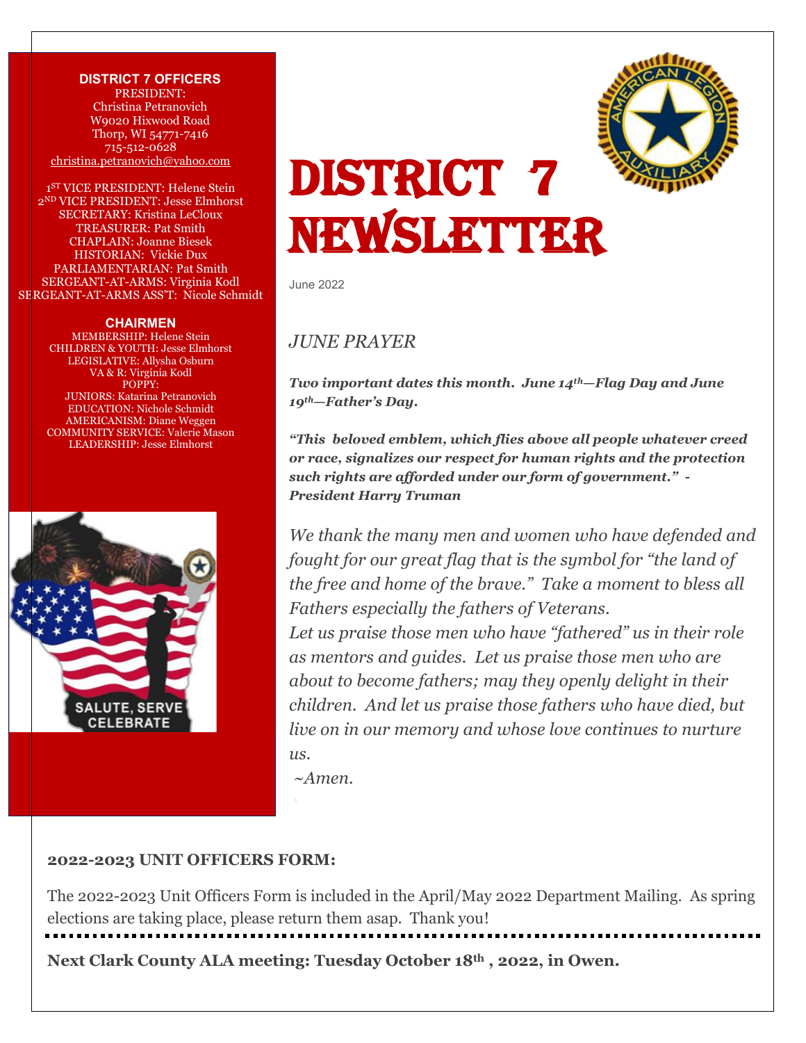**DISTRICT 7 OFFICERS** PRESIDENT: Christina Petranovich W9020 Hixwood Road Thorp, WI 54771-7416 715-512-0628 [christina.petranovich@yahoo.com](mailto:christina.petranovich@yahoo.com)

1 ST VICE PRESIDENT: Helene Stein 2 ND VICE PRESIDENT: Jesse Elmhorst SECRETARY: Kristina LeCloux TREASURER: Pat Smith CHAPLAIN: Joanne Biesek HISTORIAN: Vickie Dux PARLIAMENTARIAN: Pat Smith SERGEANT-AT-ARMS: Virginia Kodl SERGEANT-AT-ARMS ASS'T: Nicole Schmidt

#### **CHAIRMEN**

MEMBERSHIP: Helene Stein CHILDREN & YOUTH: Jesse Elmhorst LEGISLATIVE: Allysha Osburn VA & R: Virginia Kodl POPPY: JUNIORS: Katarina Petranovich EDUCATION: Nichole Schmidt AMERICANISM: Diane Weggen COMMUNITY SERVICE: Valerie Mason LEADERSHIP: Jesse Elmhorst





# DISTRICT 7 NEWSLETTER

June 2022

### *JUNE PRAYER*

*Two important dates this month. June 14th—Flag Day and June 19th—Father's Day.* 

*"This beloved emblem, which flies above all people whatever creed or race, signalizes our respect for human rights and the protection such rights are afforded under our form of government." - President Harry Truman*

*We thank the many men and women who have defended and fought for our great flag that is the symbol for "the land of the free and home of the brave." Take a moment to bless all Fathers especially the fathers of Veterans.*

*Let us praise those men who have "fathered" us in their role as mentors and guides. Let us praise those men who are about to become fathers; may they openly delight in their children. And let us praise those fathers who have died, but live on in our memory and whose love continues to nurture us.*

*~Amen.*

#### **2022-2023 UNIT OFFICERS FORM:**

The 2022-2023 Unit Officers Form is included in the April/May 2022 Department Mailing. As spring elections are taking place, please return them asap. Thank you!

**Next Clark County ALA meeting: Tuesday October 18th , 2022, in Owen.**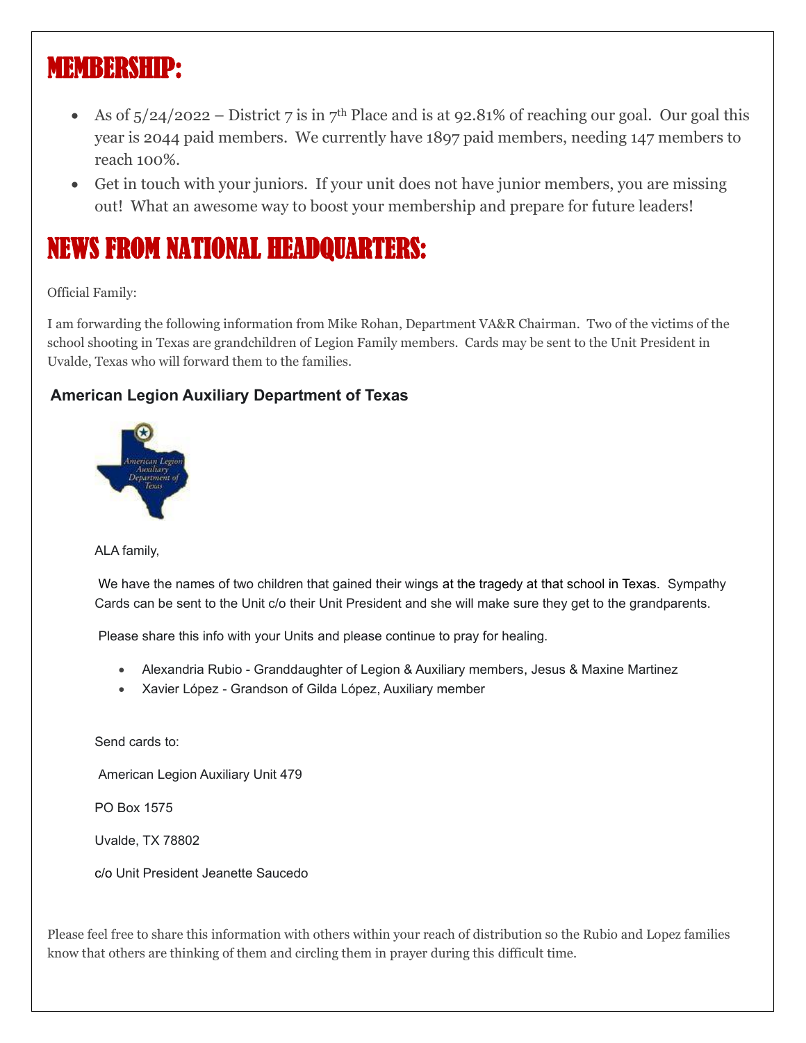# MEMBERSHIP:

- As of  $\frac{5}{24}/\frac{2022 \text{District 7}}{20}$  is in 7<sup>th</sup> Place and is at 92.81% of reaching our goal. Our goal this year is 2044 paid members. We currently have 1897 paid members, needing 147 members to reach 100%.
- Get in touch with your juniors. If your unit does not have junior members, you are missing out! What an awesome way to boost your membership and prepare for future leaders!

# NEWS FROM NATIONAL HEADQUARTERS:

Official Family:

I am forwarding the following information from Mike Rohan, Department VA&R Chairman. Two of the victims of the school shooting in Texas are grandchildren of Legion Family members. Cards may be sent to the Unit President in Uvalde, Texas who will forward them to the families.

### **American Legion Auxiliary Department of Texas**



ALA family,

We have the names of two children that gained their wings at the tragedy at that school in Texas. Sympathy Cards can be sent to the Unit c/o their Unit President and she will make sure they get to the grandparents.

Please share this info with your Units and please continue to pray for healing.

- Alexandria Rubio Granddaughter of Legion & Auxiliary members, Jesus & Maxine Martinez
- Xavier López Grandson of Gilda López, Auxiliary member

Send cards to:

American Legion Auxiliary Unit 479

PO Box 1575

Uvalde, TX 78802

c/o Unit President Jeanette Saucedo

Please feel free to share this information with others within your reach of distribution so the Rubio and Lopez families know that others are thinking of them and circling them in prayer during this difficult time.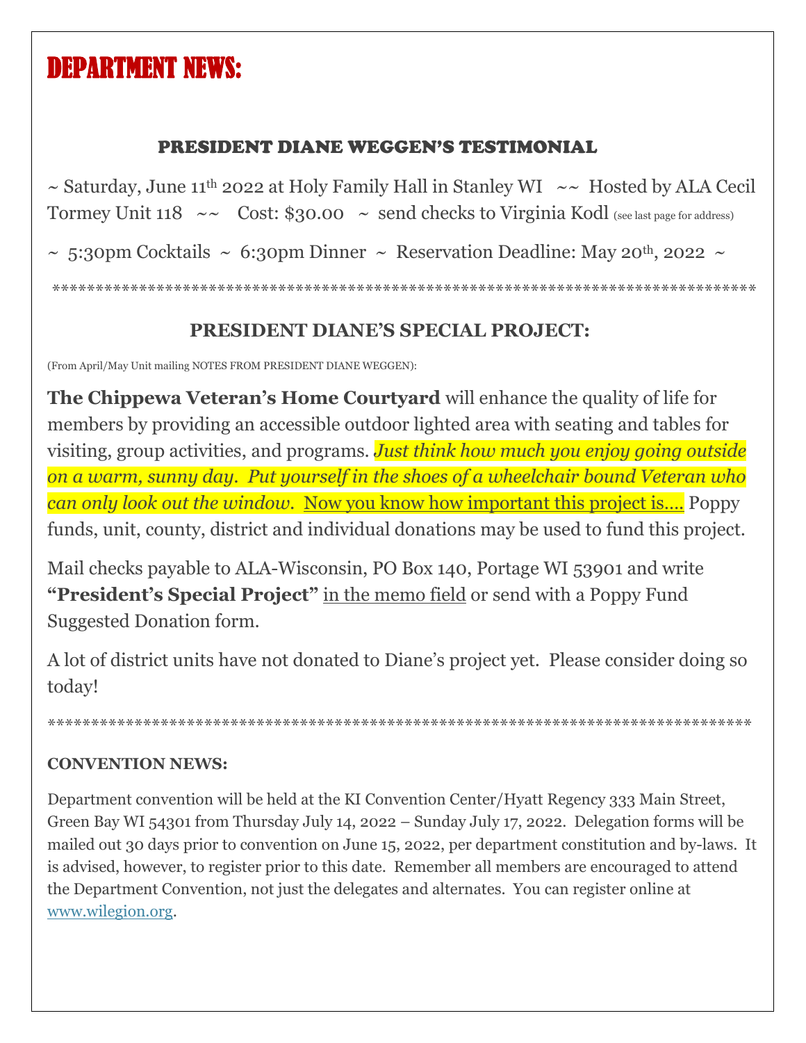# DEPARTMENT NEWS:

# PRESIDENT DIANE WEGGEN'S TESTIMONIAL

 $\sim$  Saturday, June 11<sup>th</sup> 2022 at Holy Family Hall in Stanley WI  $\sim$  Hosted by ALA Cecil Tormey Unit 118  $\sim$  Cost: \$30.00  $\sim$  send checks to Virginia Kodl (see last page for address)

 $\sim$  5:30pm Cocktails  $\sim$  6:30pm Dinner  $\sim$  Reservation Deadline: May 20<sup>th</sup>, 2022  $\sim$ 

\*\*\*\*\*\*\*\*\*\*\*\*\*\*\*\*\*\*\*\*\*\*\*\*\*\*\*\*\*\*\*\*\*\*\*\*\*\*\*\*\*\*\*\*\*\*\*\*\*\*\*\*\*\*\*\*\*\*\*\*\*\*\*\*\*\*\*\*\*\*\*\*\*\*\*\*\*\*\*\*\*

# **PRESIDENT DIANE'S SPECIAL PROJECT:**

(From April/May Unit mailing NOTES FROM PRESIDENT DIANE WEGGEN):

**The Chippewa Veteran's Home Courtyard** will enhance the quality of life for members by providing an accessible outdoor lighted area with seating and tables for visiting, group activities, and programs. *Just think how much you enjoy going outside on a warm, sunny day. Put yourself in the shoes of a wheelchair bound Veteran who can only look out the window.* Now you know how important this project is.... Poppy funds, unit, county, district and individual donations may be used to fund this project.

Mail checks payable to ALA-Wisconsin, PO Box 140, Portage WI 53901 and write **"President's Special Project"** in the memo field or send with a Poppy Fund Suggested Donation form.

A lot of district units have not donated to Diane's project yet. Please consider doing so today!

\*\*\*\*\*\*\*\*\*\*\*\*\*\*\*\*\*\*\*\*\*\*\*\*\*\*\*\*\*\*\*\*\*\*\*\*\*\*\*\*\*\*\*\*\*\*\*\*\*\*\*\*\*\*\*\*\*\*\*\*\*\*\*\*\*\*\*\*\*\*\*\*\*\*\*\*\*\*\*\*\*

### **CONVENTION NEWS:**

Department convention will be held at the KI Convention Center/Hyatt Regency 333 Main Street, Green Bay WI 54301 from Thursday July 14, 2022 – Sunday July 17, 2022. Delegation forms will be mailed out 30 days prior to convention on June 15, 2022, per department constitution and by-laws. It is advised, however, to register prior to this date. Remember all members are encouraged to attend the Department Convention, not just the delegates and alternates. You can register online at [www.wilegion.org.](http://www.wilegion.org/)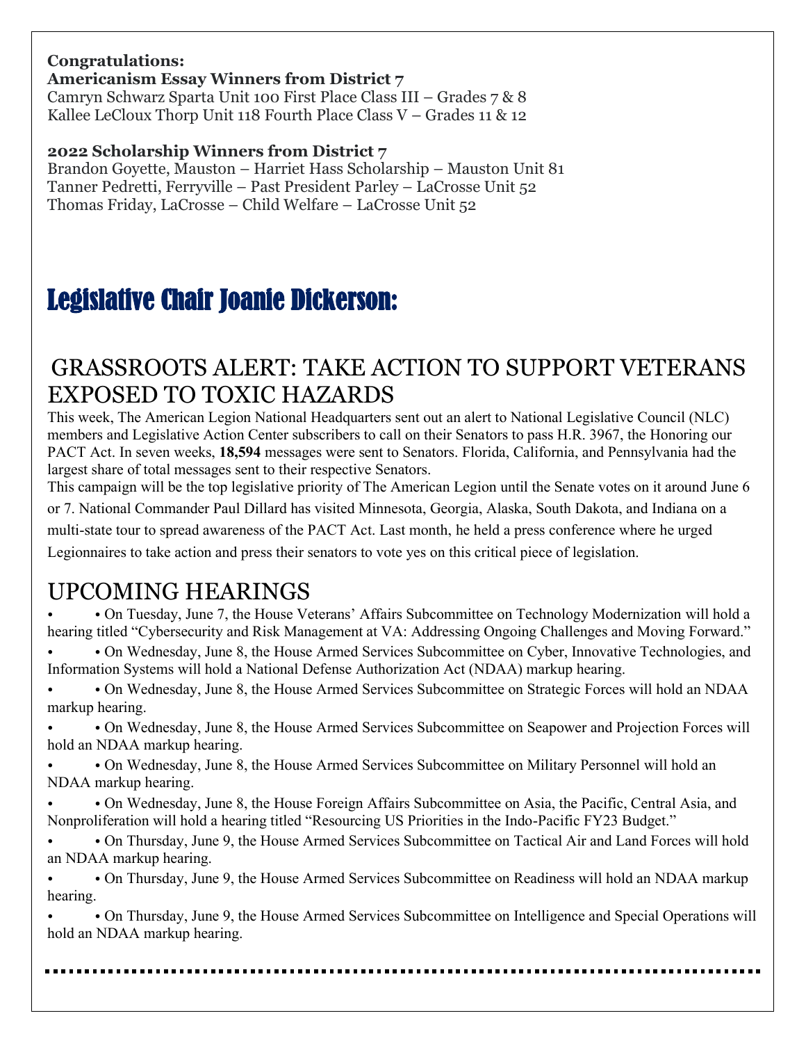# **Congratulations:**

**Americanism Essay Winners from District 7**

Camryn Schwarz Sparta Unit 100 First Place Class III – Grades 7 & 8 Kallee LeCloux Thorp Unit 118 Fourth Place Class  $V -$  Grades 11 & 12

### **2022 Scholarship Winners from District 7**

Brandon Goyette, Mauston – Harriet Hass Scholarship – Mauston Unit 81 Tanner Pedretti, Ferryville – Past President Parley – LaCrosse Unit 52 Thomas Friday, LaCrosse – Child Welfare – LaCrosse Unit 52

# Legislative Chair Joanie Dickerson:

# GRASSROOTS ALERT: TAKE ACTION TO SUPPORT VETERANS EXPOSED TO TOXIC HAZARDS

This week, The American Legion National Headquarters sent out an alert to National Legislative Council (NLC) members and Legislative Action Center subscribers to call on their Senators to pass H.R. 3967, the Honoring our PACT Act. In seven weeks, **18,594** messages were sent to Senators. Florida, California, and Pennsylvania had the largest share of total messages sent to their respective Senators.

This campaign will be the top legislative priority of The American Legion until the Senate votes on it around June 6 or 7. National Commander Paul Dillard has visited Minnesota, Georgia, Alaska, South Dakota, and Indiana on a multi-state tour to spread awareness of the PACT Act. Last month, he held a press conference where he urged Legionnaires to take action and press their senators to vote yes on this critical piece of legislation.

# UPCOMING HEARINGS

• • On Tuesday, June 7, the House Veterans' Affairs Subcommittee on Technology Modernization will hold a hearing titled "Cybersecurity and Risk Management at VA: Addressing Ongoing Challenges and Moving Forward." • • On Wednesday, June 8, the House Armed Services Subcommittee on Cyber, Innovative Technologies, and

Information Systems will hold a National Defense Authorization Act (NDAA) markup hearing.

• • On Wednesday, June 8, the House Armed Services Subcommittee on Strategic Forces will hold an NDAA markup hearing.

• • On Wednesday, June 8, the House Armed Services Subcommittee on Seapower and Projection Forces will hold an NDAA markup hearing.

• • On Wednesday, June 8, the House Armed Services Subcommittee on Military Personnel will hold an NDAA markup hearing.

• • On Wednesday, June 8, the House Foreign Affairs Subcommittee on Asia, the Pacific, Central Asia, and Nonproliferation will hold a hearing titled "Resourcing US Priorities in the Indo-Pacific FY23 Budget."

• • On Thursday, June 9, the House Armed Services Subcommittee on Tactical Air and Land Forces will hold an NDAA markup hearing.

• • On Thursday, June 9, the House Armed Services Subcommittee on Readiness will hold an NDAA markup hearing.

• • On Thursday, June 9, the House Armed Services Subcommittee on Intelligence and Special Operations will hold an NDAA markup hearing.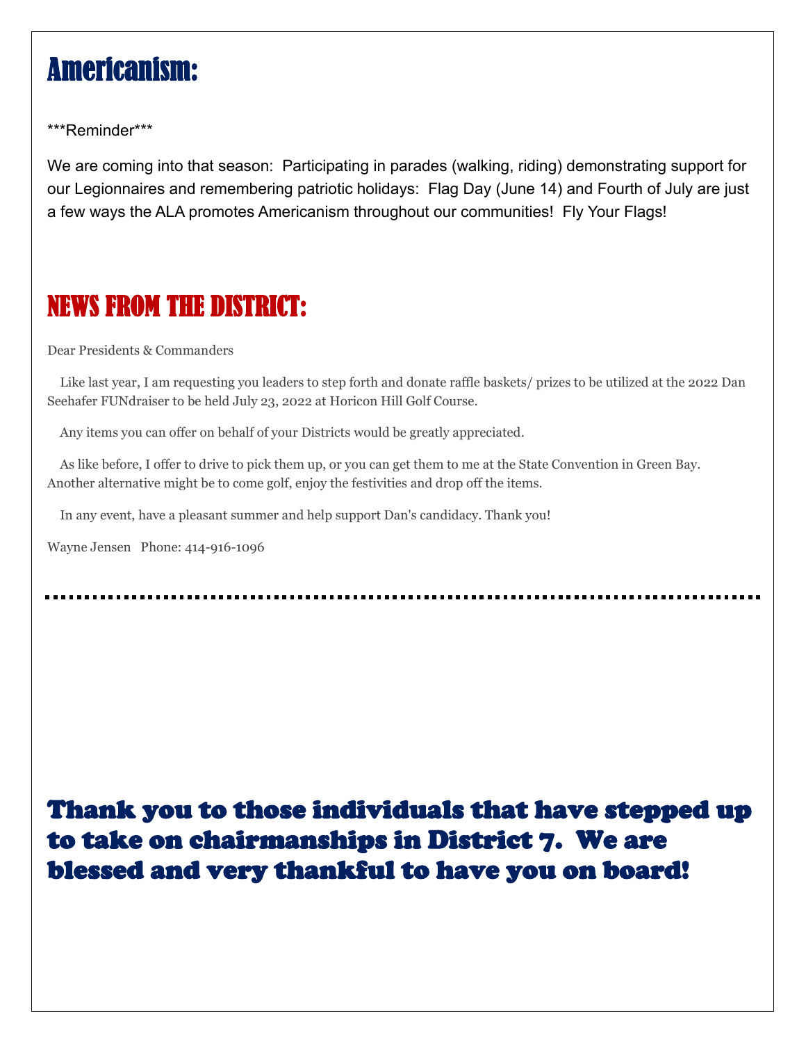# Americanism:

\*\*\*Reminder\*\*\*

We are coming into that season: Participating in parades (walking, riding) demonstrating support for our Legionnaires and remembering patriotic holidays: Flag Day (June 14) and Fourth of July are just a few ways the ALA promotes Americanism throughout our communities! Fly Your Flags!

# NEWS FROM THE DISTRICT:

Dear Presidents & Commanders

Like last year, I am requesting you leaders to step forth and donate raffle baskets/ prizes to be utilized at the 2022 Dan Seehafer FUNdraiser to be held July 23, 2022 at Horicon Hill Golf Course.

Any items you can offer on behalf of your Districts would be greatly appreciated.

As like before, I offer to drive to pick them up, or you can get them to me at the State Convention in Green Bay. Another alternative might be to come golf, enjoy the festivities and drop off the items.

In any event, have a pleasant summer and help support Dan's candidacy. Thank you!

Wayne Jensen Phone: 414-916-1096

Thank you to those individuals that have stepped up to take on chairmanships in District 7. We are blessed and very thankful to have you on board!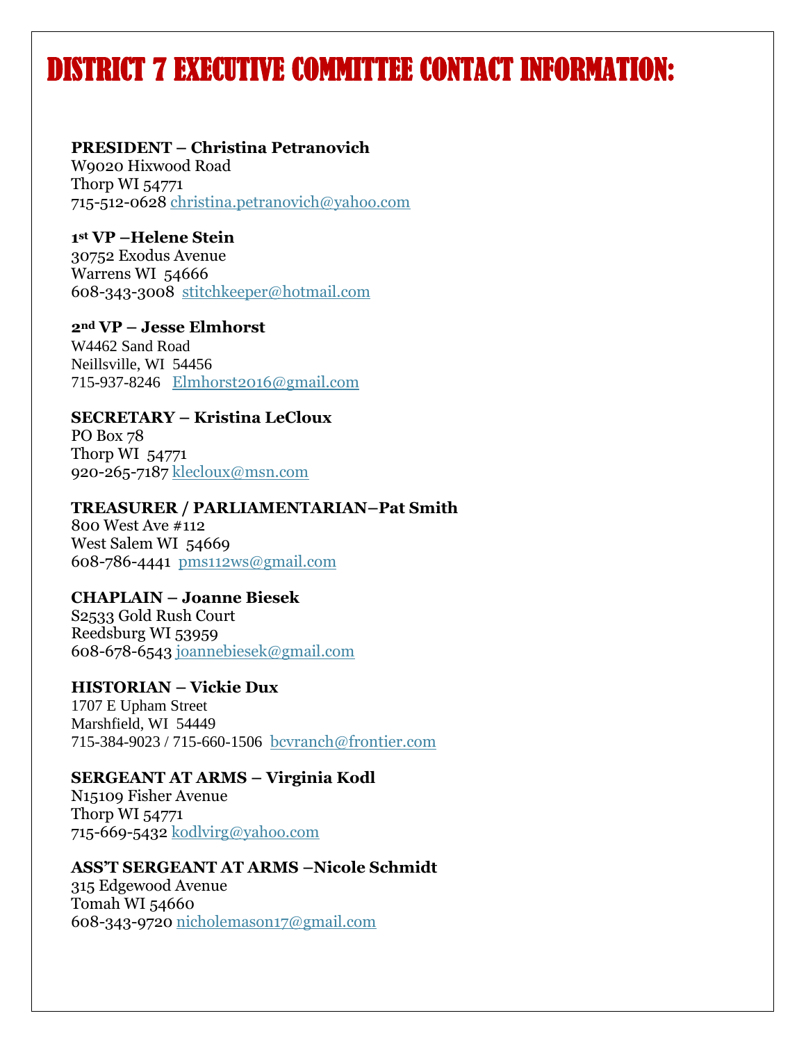# DISTRICT 7 EXECUTIVE COMMITTEE CONTACT INFORMATION:

#### **PRESIDENT – Christina Petranovich**

W9020 Hixwood Road Thorp WI 54771 715-512-0628 [christina.petranovich@yahoo.com](mailto:christina.petranovich@yahoo.com)

**1 st VP –Helene Stein** 30752 Exodus Avenue Warrens WI 54666 608-343-3008 [stitchkeeper@hotmail.com](mailto:stitchkeeper@hotmail.com)

**2nd VP – Jesse Elmhorst** W4462 Sand Road Neillsville, WI 54456 715-937-8246 [Elmhorst2016@gmail.com](mailto:Elmhorst2016@gmail.com)

**SECRETARY – Kristina LeCloux** PO Box 78 Thorp WI 54771 920-265-7187 [klecloux@msn.com](mailto:klecloux@msn.com)

**TREASURER / PARLIAMENTARIAN–Pat Smith**

800 West Ave #112 West Salem WI 54669 608-786-4441 [pms112ws@gmail.com](mailto:pms112ws@gmail.com)

**CHAPLAIN – Joanne Biesek** S2533 Gold Rush Court Reedsburg WI 53959 608-678-6543 [joannebiesek@gmail.com](mailto:joannebiesek@gmail.com)

#### **HISTORIAN – Vickie Dux**

1707 E Upham Street Marshfield, WI 54449 715-384-9023 / 715-660-1506 [bcvranch@frontier.com](mailto:bcvranch@frontier.com)

#### **SERGEANT AT ARMS – Virginia Kodl**

N15109 Fisher Avenue Thorp WI 54771 715-669-5432 [kodlvirg@yahoo.com](mailto:kodlvirg@yahoo.com)

#### **ASS'T SERGEANT AT ARMS –Nicole Schmidt**

315 Edgewood Avenue Tomah WI 54660 608-343-9720 [nicholemason17@gmail.com](mailto:nicholemason17@gmail.com)